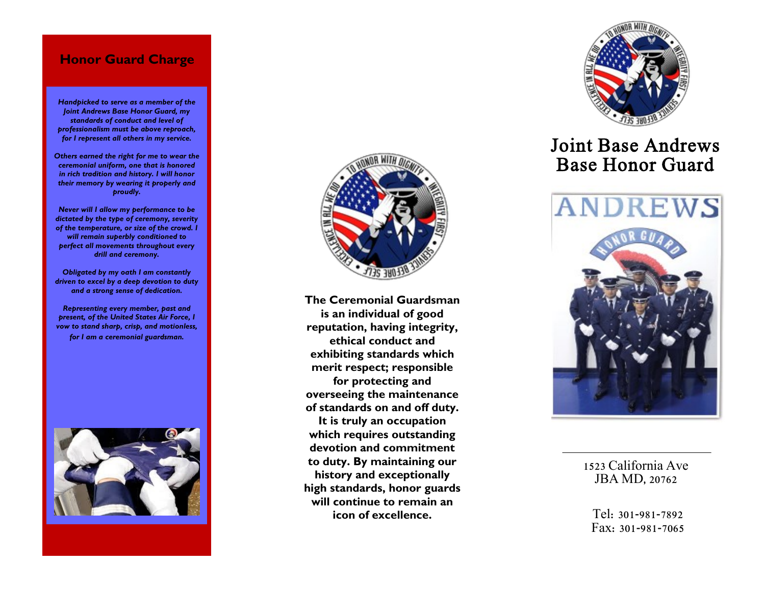## **Honor Guard Charge**

*Handpicked to serve as a member of the Joint Andrews Base Honor Guard, my standards of conduct and level of professionalism must be above reproach, for I represent all others in my service.*

*Others earned the right for me to wear the ceremonial uniform, one that is honored in rich tradition and history. I will honor their memory by wearing it properly and proudly.*

*Never will I allow my performance to be dictated by the type of ceremony, severity of the temperature, or size of the crowd. I will remain superbly conditioned to perfect all movements throughout every drill and ceremony.*

*Obligated by my oath I am constantly driven to excel by a deep devotion to duty and a strong sense of dedication.*

*Representing every member, past and present, of the United States Air Force, I vow to stand sharp, crisp, and motionless, for I am a ceremonial guardsman.*





**The Ceremonial Guardsman is an individual of good reputation, having integrity, ethical conduct and exhibiting standards which merit respect; responsible for protecting and overseeing the maintenance of standards on and off duty. It is truly an occupation which requires outstanding devotion and commitment to duty. By maintaining our history and exceptionally high standards, honor guards will continue to remain an icon of excellence.** 



# Joint Base Andrews Base Honor Guard



1523 California Ave JBA MD, 20762

Tel: 301 -981 -7892 Fax: 301 -981 -7065